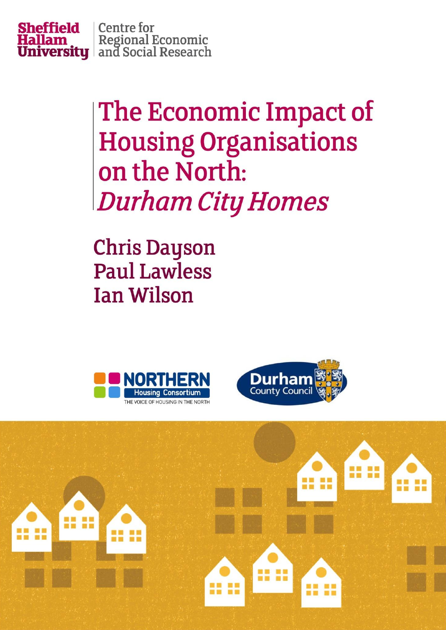

**Centre for Hallam** Regional Economic<br>**University** and Social Research

> The Economic Impact of **Housing Organisations** on the North: **Durham City Homes**

**Chris Dayson Paul Lawless Ian Wilson** 





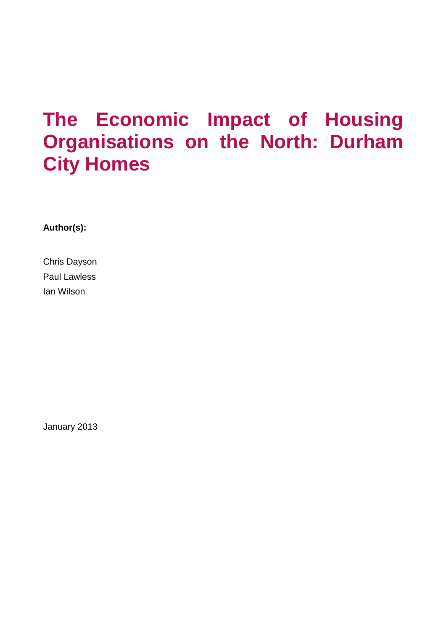# **The Economic Impact of Housing Organisations on the North: Durham City Homes**

**Author(s):**

Chris Dayson Paul Lawless Ian Wilson

January 2013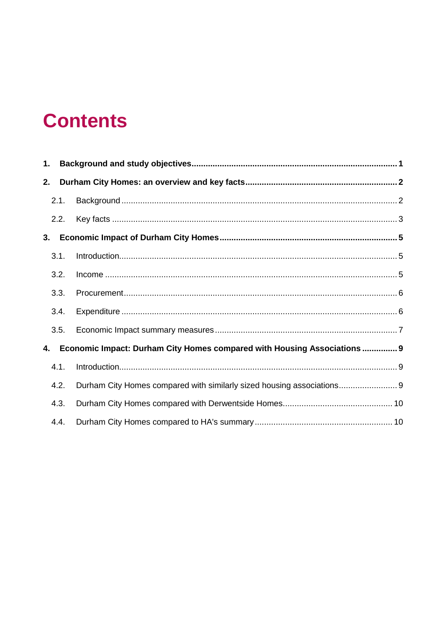# **Contents**

| 1.                                                                             |      |                                                                        |  |  |  |
|--------------------------------------------------------------------------------|------|------------------------------------------------------------------------|--|--|--|
| 2.                                                                             |      |                                                                        |  |  |  |
|                                                                                | 2.1. |                                                                        |  |  |  |
|                                                                                | 2.2. |                                                                        |  |  |  |
| 3.                                                                             |      |                                                                        |  |  |  |
|                                                                                | 3.1. |                                                                        |  |  |  |
|                                                                                | 3.2. |                                                                        |  |  |  |
|                                                                                | 3.3. |                                                                        |  |  |  |
|                                                                                | 3.4. |                                                                        |  |  |  |
|                                                                                | 3.5. |                                                                        |  |  |  |
| Economic Impact: Durham City Homes compared with Housing Associations  9<br>4. |      |                                                                        |  |  |  |
|                                                                                | 4.1. |                                                                        |  |  |  |
|                                                                                | 4.2. | Durham City Homes compared with similarly sized housing associations 9 |  |  |  |
|                                                                                | 4.3. |                                                                        |  |  |  |
|                                                                                | 4.4. |                                                                        |  |  |  |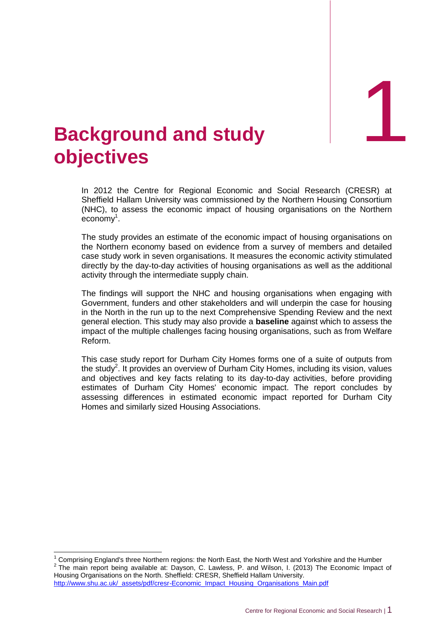1

# <span id="page-3-0"></span>1. **Background and study objectives**

In 2012 the Centre for Regional Economic and Social Research (CRESR) at Sheffield Hallam University was commissioned by the Northern Housing Consortium (NHC), to assess the economic impact of housing organisations on the Northern economy<sup>1</sup>.

The study provides an estimate of the economic impact of housing organisations on the Northern economy based on evidence from a survey of members and detailed case study work in seven organisations. It measures the economic activity stimulated directly by the day-to-day activities of housing organisations as well as the additional activity through the intermediate supply chain.

The findings will support the NHC and housing organisations when engaging with Government, funders and other stakeholders and will underpin the case for housing in the North in the run up to the next Comprehensive Spending Review and the next general election. This study may also provide a **baseline** against which to assess the impact of the multiple challenges facing housing organisations, such as from Welfare Reform.

This case study report for Durham City Homes forms one of a suite of outputs from the study<sup>2</sup>. It provides an overview of Durham City Homes, including its vision, values and objectives and key facts relating to its day-to-day activities, before providing estimates of Durham City Homes' economic impact. The report concludes by assessing differences in estimated economic impact reported for Durham City Homes and similarly sized Housing Associations.

 $\overline{1}$ 

<sup>1</sup> Comprising England's three Northern regions: the North East, the North West and Yorkshire and the Humber  $2$  The main report being available at: Dayson, C. Lawless, P. and Wilson, I. (2013) The Economic Impact of Housing Organisations on the North. Sheffield: CRESR, Sheffield Hallam University. http://www.shu.ac.uk/\_assets/pdf/cresr-Economic\_Impact\_Housing\_Organisations\_Main.pdf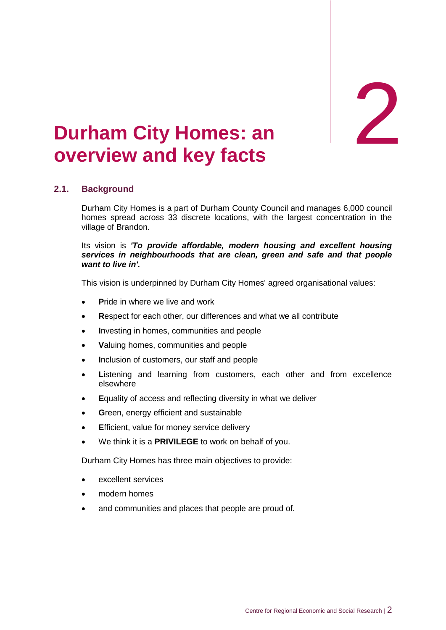**a** 

# <span id="page-4-0"></span>**Durham City Homes: an overview and key facts**

# <span id="page-4-1"></span>**2.1. Background**

Durham City Homes is a part of Durham County Council and manages 6,000 council homes spread across 33 discrete locations, with the largest concentration in the village of Brandon.

#### Its vision is *'To provide affordable, modern housing and excellent housing services in neighbourhoods that are clean, green and safe and that people want to live in'.*

This vision is underpinned by Durham City Homes' agreed organisational values:

- **P**ride in where we live and work
- **R**espect for each other, our differences and what we all contribute
- **I**nvesting in homes, communities and people
- **V**aluing homes, communities and people
- **I**nclusion of customers, our staff and people
- **L**istening and learning from customers, each other and from excellence elsewhere
- **E**quality of access and reflecting diversity in what we deliver
- **G**reen, energy efficient and sustainable
- **E**fficient, value for money service delivery
- We think it is a **PRIVILEGE** to work on behalf of you.

Durham City Homes has three main objectives to provide:

- excellent services
- modern homes
- and communities and places that people are proud of.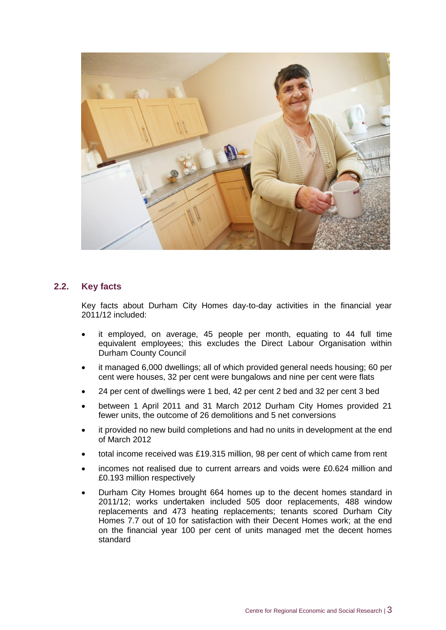

## <span id="page-5-0"></span>**2.2. Key facts**

Key facts about Durham City Homes day-to-day activities in the financial year 2011/12 included:

- it employed, on average, 45 people per month, equating to 44 full time equivalent employees; this excludes the Direct Labour Organisation within Durham County Council
- it managed 6,000 dwellings; all of which provided general needs housing; 60 per cent were houses, 32 per cent were bungalows and nine per cent were flats
- 24 per cent of dwellings were 1 bed, 42 per cent 2 bed and 32 per cent 3 bed
- between 1 April 2011 and 31 March 2012 Durham City Homes provided 21 fewer units, the outcome of 26 demolitions and 5 net conversions
- it provided no new build completions and had no units in development at the end of March 2012
- total income received was £19.315 million, 98 per cent of which came from rent
- incomes not realised due to current arrears and voids were £0.624 million and £0.193 million respectively
- Durham City Homes brought 664 homes up to the decent homes standard in 2011/12; works undertaken included 505 door replacements, 488 window replacements and 473 heating replacements; tenants scored Durham City Homes 7.7 out of 10 for satisfaction with their Decent Homes work; at the end on the financial year 100 per cent of units managed met the decent homes standard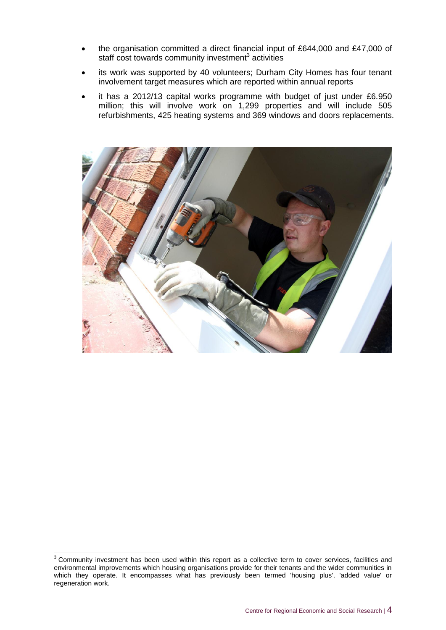- the organisation committed a direct financial input of £644,000 and £47,000 of staff cost towards community investment<sup>3</sup> activities
- its work was supported by 40 volunteers; Durham City Homes has four tenant involvement target measures which are reported within annual reports
- it has a 2012/13 capital works programme with budget of just under £6.950 million; this will involve work on 1,299 properties and will include 505 refurbishments, 425 heating systems and 369 windows and doors replacements.



 $\overline{a}$  $3$  Community investment has been used within this report as a collective term to cover services, facilities and environmental improvements which housing organisations provide for their tenants and the wider communities in which they operate. It encompasses what has previously been termed 'housing plus', 'added value' or regeneration work.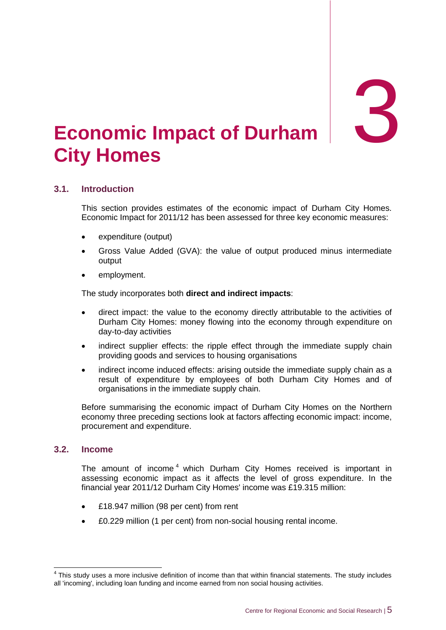3

# <span id="page-7-0"></span>3. **Economic Impact of Durham City Homes**

# <span id="page-7-1"></span>**3.1. Introduction**

This section provides estimates of the economic impact of Durham City Homes. Economic Impact for 2011/12 has been assessed for three key economic measures:

- expenditure (output)
- Gross Value Added (GVA): the value of output produced minus intermediate output
- employment.

The study incorporates both **direct and indirect impacts**:

- direct impact: the value to the economy directly attributable to the activities of Durham City Homes: money flowing into the economy through expenditure on day-to-day activities
- indirect supplier effects: the ripple effect through the immediate supply chain providing goods and services to housing organisations
- indirect income induced effects: arising outside the immediate supply chain as a result of expenditure by employees of both Durham City Homes and of organisations in the immediate supply chain.

Before summarising the economic impact of Durham City Homes on the Northern economy three preceding sections look at factors affecting economic impact: income, procurement and expenditure.

#### <span id="page-7-2"></span>**3.2. Income**

The amount of income<sup>4</sup> which Durham City Homes received is important in assessing economic impact as it affects the level of gross expenditure. In the financial year 2011/12 Durham City Homes' income was £19.315 million:

- £18.947 million (98 per cent) from rent
- £0.229 million (1 per cent) from non-social housing rental income.

 4 This study uses a more inclusive definition of income than that within financial statements. The study includes all 'incoming', including loan funding and income earned from non social housing activities.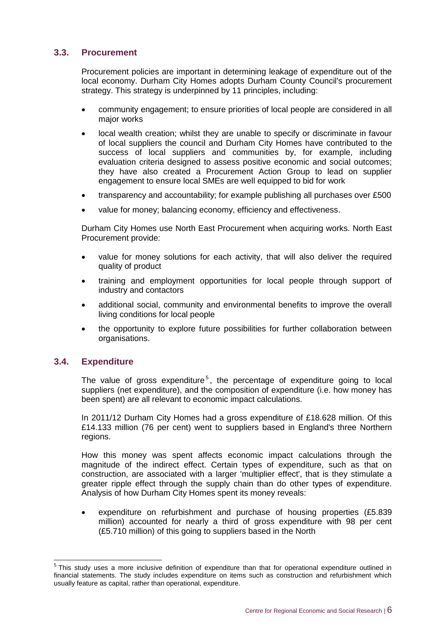# <span id="page-8-0"></span>**3.3. Procurement**

Procurement policies are important in determining leakage of expenditure out of the local economy. Durham City Homes adopts Durham County Council's procurement strategy. This strategy is underpinned by 11 principles, including:

- community engagement; to ensure priorities of local people are considered in all major works
- local wealth creation; whilst they are unable to specify or discriminate in favour of local suppliers the council and Durham City Homes have contributed to the success of local suppliers and communities by, for example, including evaluation criteria designed to assess positive economic and social outcomes; they have also created a Procurement Action Group to lead on supplier engagement to ensure local SMEs are well equipped to bid for work
- transparency and accountability; for example publishing all purchases over £500
- value for money; balancing economy, efficiency and effectiveness.

Durham City Homes use North East Procurement when acquiring works. North East Procurement provide:

- value for money solutions for each activity, that will also deliver the required quality of product
- training and employment opportunities for local people through support of industry and contactors
- additional social, community and environmental benefits to improve the overall living conditions for local people
- the opportunity to explore future possibilities for further collaboration between organisations.

### <span id="page-8-1"></span>**3.4. Expenditure**

The value of gross expenditure<sup>5</sup>, the percentage of expenditure going to local suppliers (net expenditure), and the composition of expenditure (i.e. how money has been spent) are all relevant to economic impact calculations.

In 2011/12 Durham City Homes had a gross expenditure of £18.628 million. Of this £14.133 million (76 per cent) went to suppliers based in England's three Northern regions.

How this money was spent affects economic impact calculations through the magnitude of the indirect effect. Certain types of expenditure, such as that on construction, are associated with a larger 'multiplier effect', that is they stimulate a greater ripple effect through the supply chain than do other types of expenditure. Analysis of how Durham City Homes spent its money reveals:

 expenditure on refurbishment and purchase of housing properties (£5.839 million) accounted for nearly a third of gross expenditure with 98 per cent (£5.710 million) of this going to suppliers based in the North

 5 This study uses a more inclusive definition of expenditure than that for operational expenditure outlined in financial statements. The study includes expenditure on items such as construction and refurbishment which usually feature as capital, rather than operational, expenditure.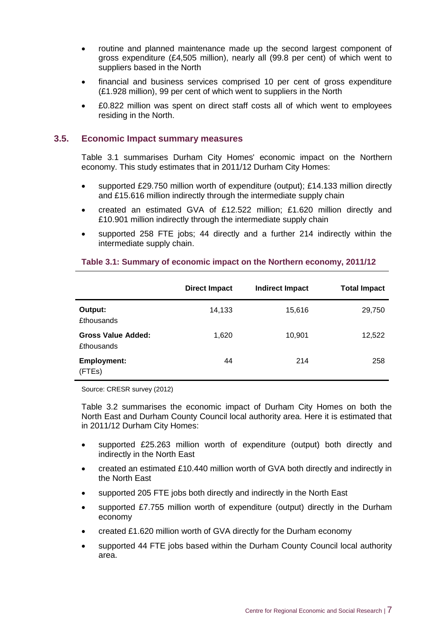- routine and planned maintenance made up the second largest component of gross expenditure (£4,505 million), nearly all (99.8 per cent) of which went to suppliers based in the North
- financial and business services comprised 10 per cent of gross expenditure (£1.928 million), 99 per cent of which went to suppliers in the North
- £0.822 million was spent on direct staff costs all of which went to employees residing in the North.

### <span id="page-9-0"></span>**3.5. Economic Impact summary measures**

Table 3.1 summarises Durham City Homes' economic impact on the Northern economy. This study estimates that in 2011/12 Durham City Homes:

- supported £29.750 million worth of expenditure (output); £14.133 million directly and £15.616 million indirectly through the intermediate supply chain
- created an estimated GVA of £12.522 million; £1.620 million directly and £10.901 million indirectly through the intermediate supply chain
- supported 258 FTE jobs; 44 directly and a further 214 indirectly within the intermediate supply chain.

|                                                | <b>Direct Impact</b> | <b>Indirect Impact</b> | <b>Total Impact</b> |
|------------------------------------------------|----------------------|------------------------|---------------------|
| Output:<br><b>£thousands</b>                   | 14,133               | 15,616                 | 29,750              |
| <b>Gross Value Added:</b><br><b>£thousands</b> | 1,620                | 10,901                 | 12,522              |
| <b>Employment:</b><br>(FTEs)                   | 44                   | 214                    | 258                 |

#### **Table 3.1: Summary of economic impact on the Northern economy, 2011/12**

Source: CRESR survey (2012)

Table 3.2 summarises the economic impact of Durham City Homes on both the North East and Durham County Council local authority area. Here it is estimated that in 2011/12 Durham City Homes:

- supported £25.263 million worth of expenditure (output) both directly and indirectly in the North East
- created an estimated £10.440 million worth of GVA both directly and indirectly in the North East
- supported 205 FTE jobs both directly and indirectly in the North East
- supported £7.755 million worth of expenditure (output) directly in the Durham economy
- created £1.620 million worth of GVA directly for the Durham economy
- supported 44 FTE jobs based within the Durham County Council local authority area.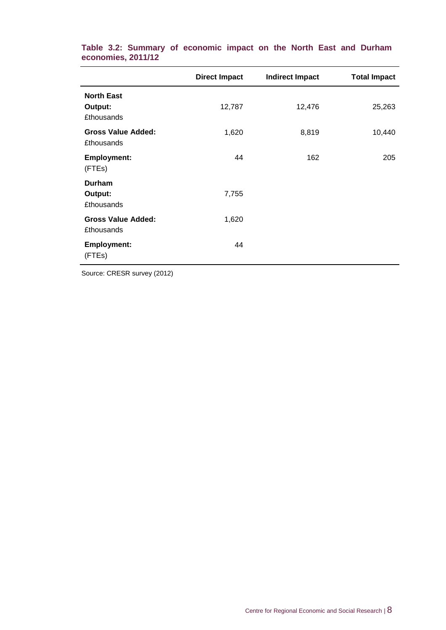|                                                   | <b>Direct Impact</b> | <b>Indirect Impact</b> | <b>Total Impact</b> |
|---------------------------------------------------|----------------------|------------------------|---------------------|
| <b>North East</b><br>Output:<br><b>£thousands</b> | 12,787               | 12,476                 | 25,263              |
| <b>Gross Value Added:</b><br><b>£thousands</b>    | 1,620                | 8,819                  | 10,440              |
| <b>Employment:</b><br>(FTEs)                      | 44                   | 162                    | 205                 |
| <b>Durham</b><br>Output:<br><b>£thousands</b>     | 7,755                |                        |                     |
| <b>Gross Value Added:</b><br><b>£thousands</b>    | 1,620                |                        |                     |
| <b>Employment:</b><br>(FTEs)                      | 44                   |                        |                     |

**Table 3.2: Summary of economic impact on the North East and Durham economies, 2011/12**

Source: CRESR survey (2012)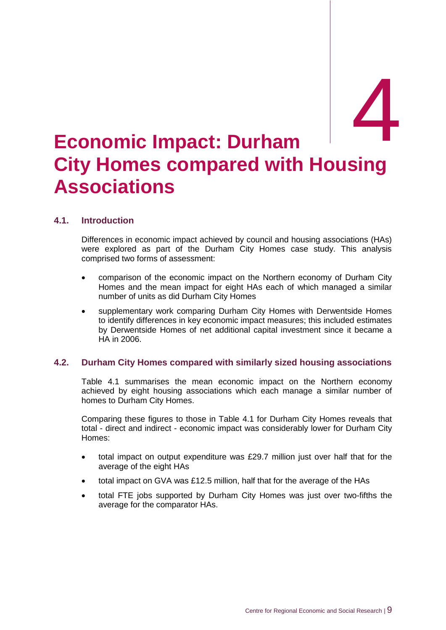# <span id="page-11-0"></span>**Economic Impact: Durham City Homes compared with Housing Associations**

## <span id="page-11-1"></span>**4.1. Introduction**

Differences in economic impact achieved by council and housing associations (HAs) were explored as part of the Durham City Homes case study. This analysis comprised two forms of assessment:

- comparison of the economic impact on the Northern economy of Durham City Homes and the mean impact for eight HAs each of which managed a similar number of units as did Durham City Homes
- supplementary work comparing Durham City Homes with Derwentside Homes to identify differences in key economic impact measures; this included estimates by Derwentside Homes of net additional capital investment since it became a HA in 2006.

### <span id="page-11-2"></span>**4.2. Durham City Homes compared with similarly sized housing associations**

Table 4.1 summarises the mean economic impact on the Northern economy achieved by eight housing associations which each manage a similar number of homes to Durham City Homes.

Comparing these figures to those in Table 4.1 for Durham City Homes reveals that total - direct and indirect - economic impact was considerably lower for Durham City Homes:

- total impact on output expenditure was £29.7 million just over half that for the average of the eight HAs
- total impact on GVA was £12.5 million, half that for the average of the HAs
- total FTE jobs supported by Durham City Homes was just over two-fifths the average for the comparator HAs.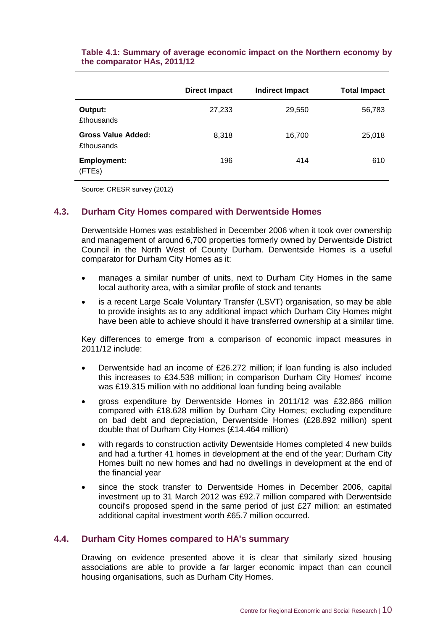|                                         | <b>Direct Impact</b> | <b>Indirect Impact</b> | <b>Total Impact</b> |
|-----------------------------------------|----------------------|------------------------|---------------------|
| Output:<br><b>£thousands</b>            | 27,233               | 29,550                 | 56,783              |
| Gross Value Added:<br><b>£thousands</b> | 8,318                | 16,700                 | 25,018              |
| <b>Employment:</b><br>(FTEs)            | 196                  | 414                    | 610                 |

### **Table 4.1: Summary of average economic impact on the Northern economy by the comparator HAs, 2011/12**

Source: CRESR survey (2012)

#### <span id="page-12-0"></span>**4.3. Durham City Homes compared with Derwentside Homes**

Derwentside Homes was established in December 2006 when it took over ownership and management of around 6,700 properties formerly owned by Derwentside District Council in the North West of County Durham. Derwentside Homes is a useful comparator for Durham City Homes as it:

- manages a similar number of units, next to Durham City Homes in the same local authority area, with a similar profile of stock and tenants
- is a recent Large Scale Voluntary Transfer (LSVT) organisation, so may be able to provide insights as to any additional impact which Durham City Homes might have been able to achieve should it have transferred ownership at a similar time.

Key differences to emerge from a comparison of economic impact measures in 2011/12 include:

- Derwentside had an income of £26.272 million; if loan funding is also included this increases to £34.538 million; in comparison Durham City Homes' income was £19.315 million with no additional loan funding being available
- gross expenditure by Derwentside Homes in 2011/12 was £32.866 million compared with £18.628 million by Durham City Homes; excluding expenditure on bad debt and depreciation, Derwentside Homes (£28.892 million) spent double that of Durham City Homes (£14.464 million)
- with regards to construction activity Dewentside Homes completed 4 new builds and had a further 41 homes in development at the end of the year; Durham City Homes built no new homes and had no dwellings in development at the end of the financial year
- since the stock transfer to Derwentside Homes in December 2006, capital investment up to 31 March 2012 was £92.7 million compared with Derwentside council's proposed spend in the same period of just £27 million: an estimated additional capital investment worth £65.7 million occurred.

### <span id="page-12-1"></span>**4.4. Durham City Homes compared to HA's summary**

Drawing on evidence presented above it is clear that similarly sized housing associations are able to provide a far larger economic impact than can council housing organisations, such as Durham City Homes.